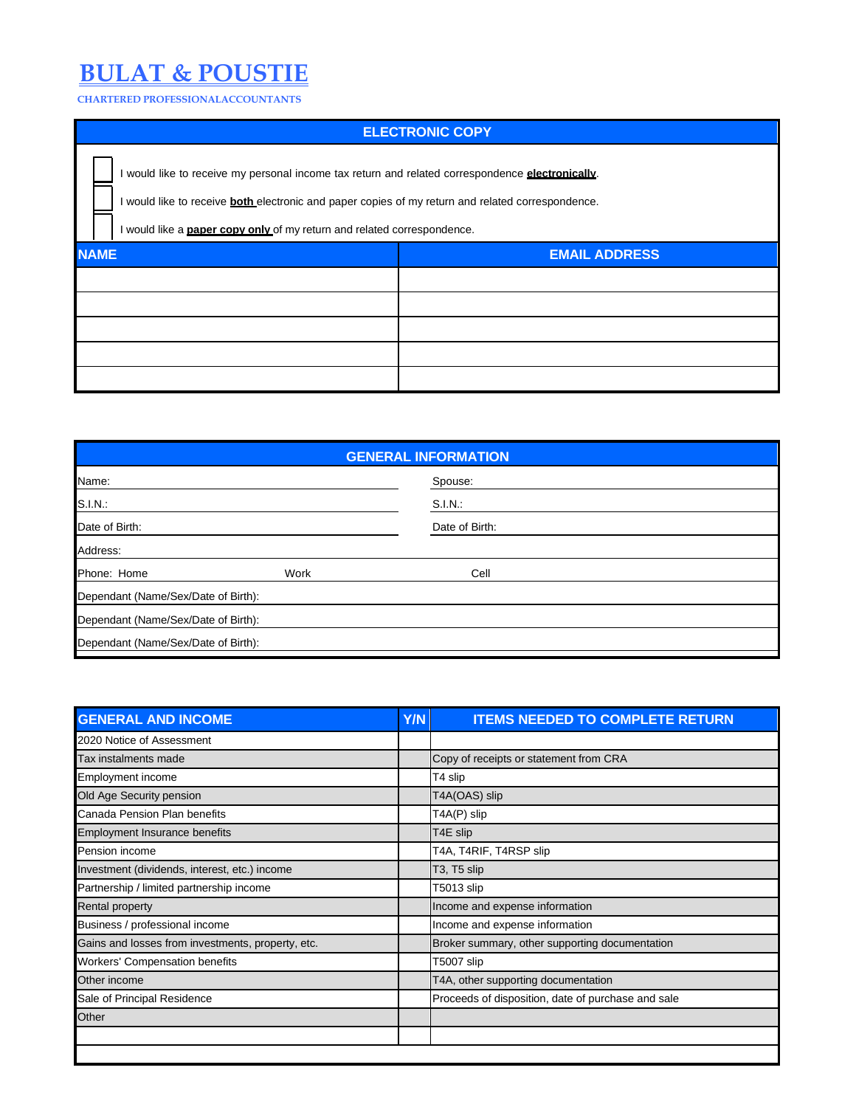## **BULAT & POUSTIE**

**CHARTERED PROFESSIONALACCOUNTANTS**

| <b>ELECTRONIC COPY</b>                                                                                                                                                                                                                                                                         |                      |  |  |  |  |  |
|------------------------------------------------------------------------------------------------------------------------------------------------------------------------------------------------------------------------------------------------------------------------------------------------|----------------------|--|--|--|--|--|
| I would like to receive my personal income tax return and related correspondence electronically.<br>I would like to receive <b>both</b> electronic and paper copies of my return and related correspondence.<br>I would like a <b>paper copy only</b> of my return and related correspondence. |                      |  |  |  |  |  |
| <b>NAME</b>                                                                                                                                                                                                                                                                                    | <b>EMAIL ADDRESS</b> |  |  |  |  |  |
|                                                                                                                                                                                                                                                                                                |                      |  |  |  |  |  |
|                                                                                                                                                                                                                                                                                                |                      |  |  |  |  |  |
|                                                                                                                                                                                                                                                                                                |                      |  |  |  |  |  |
|                                                                                                                                                                                                                                                                                                |                      |  |  |  |  |  |
|                                                                                                                                                                                                                                                                                                |                      |  |  |  |  |  |

| <b>GENERAL INFORMATION</b>          |      |                |  |  |  |  |  |
|-------------------------------------|------|----------------|--|--|--|--|--|
| Name:                               |      | Spouse:        |  |  |  |  |  |
| S.I.N.:                             |      | S.I.N.:        |  |  |  |  |  |
| Date of Birth:                      |      | Date of Birth: |  |  |  |  |  |
| Address:                            |      |                |  |  |  |  |  |
| Phone: Home                         | Work | Cell           |  |  |  |  |  |
| Dependant (Name/Sex/Date of Birth): |      |                |  |  |  |  |  |
| Dependant (Name/Sex/Date of Birth): |      |                |  |  |  |  |  |
| Dependant (Name/Sex/Date of Birth): |      |                |  |  |  |  |  |

| <b>GENERAL AND INCOME</b>                         | <b>Y/N</b> | <b>ITEMS NEEDED TO COMPLETE RETURN</b>             |
|---------------------------------------------------|------------|----------------------------------------------------|
| 2020 Notice of Assessment                         |            |                                                    |
| Tax instalments made                              |            | Copy of receipts or statement from CRA             |
| Employment income                                 |            | T4 slip                                            |
| Old Age Security pension                          |            | T4A(OAS) slip                                      |
| Canada Pension Plan benefits                      |            | T4A(P) slip                                        |
| Employment Insurance benefits                     |            | T4E slip                                           |
| Pension income                                    |            | T4A, T4RIF, T4RSP slip                             |
| Investment (dividends, interest, etc.) income     |            | T3, T5 slip                                        |
| Partnership / limited partnership income          |            | T5013 slip                                         |
| Rental property                                   |            | Income and expense information                     |
| Business / professional income                    |            | Income and expense information                     |
| Gains and losses from investments, property, etc. |            | Broker summary, other supporting documentation     |
| <b>Workers' Compensation benefits</b>             |            | T5007 slip                                         |
| Other income                                      |            | T4A, other supporting documentation                |
| Sale of Principal Residence                       |            | Proceeds of disposition, date of purchase and sale |
| Other                                             |            |                                                    |
|                                                   |            |                                                    |
|                                                   |            |                                                    |